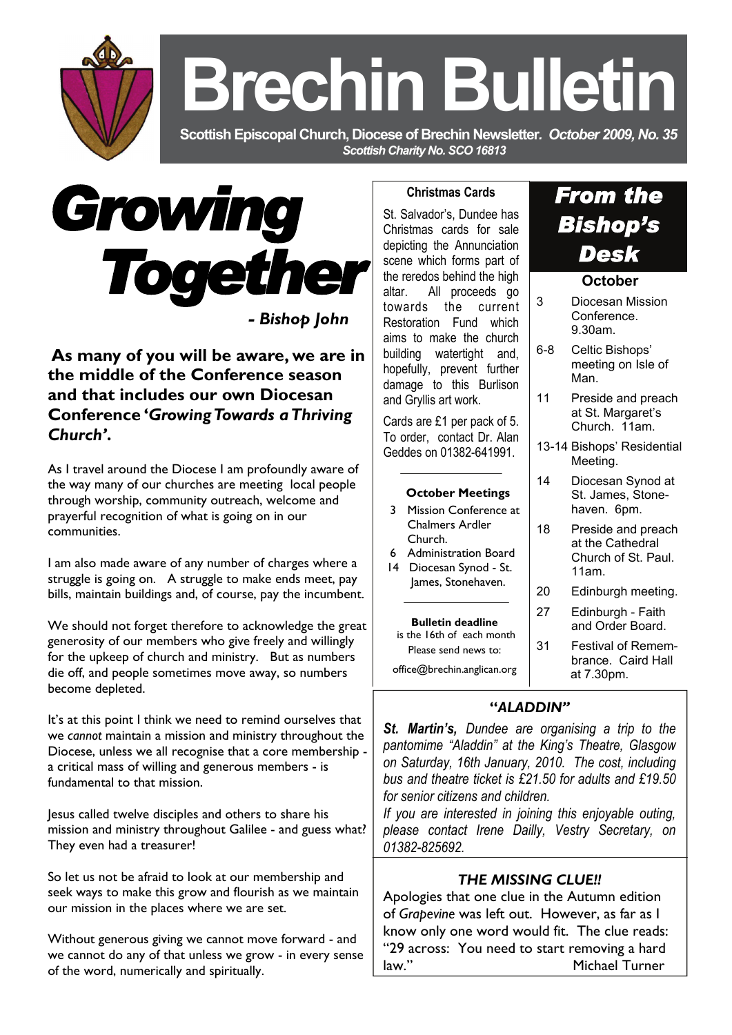**Brechin Bulletin** 

 **Scottish Episcopal Church, Diocese of Brechin Newsletter***. October 2009, No. 35 Scottish Charity No. SCO 16813* 



**As many of you will be aware, we are in the middle of the Conference season and that includes our own Diocesan Conference '***Growing Towards a Thriving Church'***.** 

As I travel around the Diocese I am profoundly aware of the way many of our churches are meeting local people through worship, community outreach, welcome and prayerful recognition of what is going on in our communities.

I am also made aware of any number of charges where a struggle is going on. A struggle to make ends meet, pay bills, maintain buildings and, of course, pay the incumbent.

We should not forget therefore to acknowledge the great generosity of our members who give freely and willingly for the upkeep of church and ministry. But as numbers die off, and people sometimes move away, so numbers become depleted.

It's at this point I think we need to remind ourselves that we *cannot* maintain a mission and ministry throughout the Diocese, unless we all recognise that a core membership a critical mass of willing and generous members - is fundamental to that mission.

Jesus called twelve disciples and others to share his mission and ministry throughout Galilee - and guess what? They even had a treasurer!

So let us not be afraid to look at our membership and seek ways to make this grow and flourish as we maintain our mission in the places where we are set.

Without generous giving we cannot move forward - and we cannot do any of that unless we grow - in every sense of the word, numerically and spiritually.

### **Christmas Cards**

St. Salvador's, Dundee has Christmas cards for sale depicting the Annunciation scene which forms part of the reredos behind the high altar. All proceeds go towards the current Restoration Fund which aims to make the church building watertight and, hopefully, prevent further damage to this Burlison and Gryllis art work.

Cards are £1 per pack of 5. To order, contact Dr. Alan Geddes on 01382-641991.

#### **October Meetings**

- 3Mission Conference at Chalmers Ardler Church.
- 6 Administration Board
- 14 Diocesan Synod St. James, Stonehaven.

**Bulletin deadline**  is the 16th of each month Please send news to: office@brechin.anglican.org

## **"***ALADDIN"*

*St. Martin's, Dundee are organising a trip to the pantomime "Aladdin" at the King's Theatre, Glasgow on Saturday, 16th January, 2010. The cost, including bus and theatre ticket is £21.50 for adults and £19.50 for senior citizens and children.* 

*If you are interested in joining this enjoyable outing, please contact Irene Dailly, Vestry Secretary, on 01382-825692.* 

## *THE MISSING CLUE!!*

Apologies that one clue in the Autumn edition of *Grapevine* was left out. However, as far as I know only one word would fit. The clue reads: "29 across: You need to start removing a hard law." Michael Turner

# *From the Bishop's Desk*

### **October**

| 3       | Diocesan Mission<br>Conference.<br>9.30am.                            |
|---------|-----------------------------------------------------------------------|
| $6 - 8$ | Celtic Bishops'<br>meeting on Isle of<br>Man                          |
| 11      | Preside and preach<br>at St. Margaret's<br>Church, 11am.              |
|         | 13-14 Bishops' Residential<br>Meeting.                                |
| 14      | Diocesan Synod at<br>St. James, Stone-<br>haven. 6pm.                 |
| 18      | Preside and preach<br>at the Cathedral<br>Church of St. Paul.<br>11am |
| 20      | Edinburgh meeting.                                                    |
| 27      | Edinburgh - Faith<br>and Order Board.                                 |
| 31      | <b>Festival of Remem-</b><br>brance. Caird Hall<br>at 7.30pm.         |